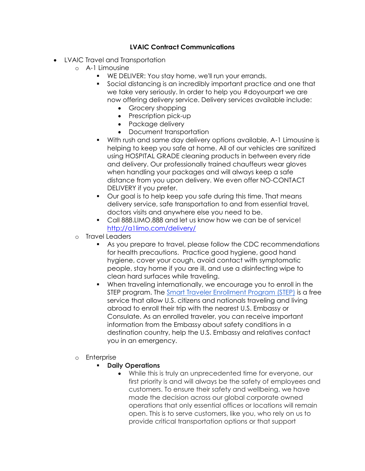## **LVAIC Contract Communications**

- LVAIC Travel and Transportation
	- o A-1 Limousine
		- WE DELIVER: You stay home, we'll run your errands.
		- Social distancing is an incredibly important practice and one that we take very seriously. In order to help you #doyourpart we are now offering delivery service. Delivery services available include:
			- Grocery shopping
			- Prescription pick-up
			- Package delivery
			- Document transportation
		- With rush and same day delivery options available, A-1 Limousine is helping to keep you safe at home. All of our vehicles are sanitized using HOSPITAL GRADE cleaning products in between every ride and delivery. Our professionally trained chauffeurs wear gloves when handling your packages and will always keep a safe distance from you upon delivery. We even offer NO-CONTACT DELIVERY if you prefer.
		- Our goal is to help keep you safe during this time. That means delivery service, safe transportation to and from essential travel, doctors visits and anywhere else you need to be.
		- Call 888.LIMO.888 and let us know how we can be of service! <http://a1limo.com/delivery/>
	- o Travel Leaders
		- As you prepare to travel, please follow the CDC recommendations for health precautions. Practice good hygiene, good hand hygiene, cover your cough, avoid contact with symptomatic people, stay home if you are ill, and use a disinfecting wipe to clean hard surfaces while traveling.
		- When traveling internationally, we encourage you to enroll in the STEP program. The [Smart Traveler Enrollment Program \(STEP\)](https://step.state.gov/step/) is a free service that allow U.S. citizens and nationals traveling and living abroad to enroll their trip with the nearest U.S. Embassy or Consulate. As an enrolled traveler, you can receive important information from the Embassy about safety conditions in a destination country, help the U.S. Embassy and relatives contact you in an emergency.
	- o Enterprise
		- **Daily Operations** 
			- While this is truly an unprecedented time for everyone, our first priority is and will always be the safety of employees and customers. To ensure their safety and wellbeing, we have made the decision across our global corporate owned operations that only essential offices or locations will remain open. This is to serve customers, like you, who rely on us to provide critical transportation options or that support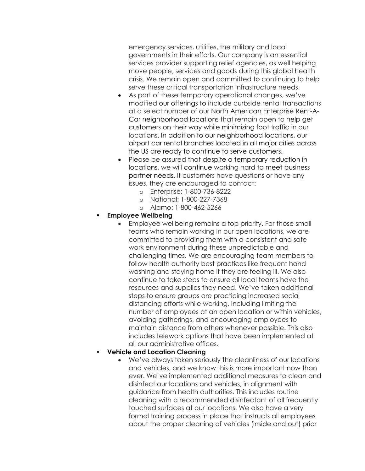emergency services, utilities, the military and local governments in their efforts. Our company is an essential services provider supporting relief agencies, as well helping move people, services and goods during this global health crisis. We remain open and committed to continuing to help serve these critical transportation infrastructure needs.

- As part of these temporary operational changes, we've modified our offerings to include curbside rental transactions at a select number of our North American Enterprise Rent-A-Car neighborhood locations that remain open to help get customers on their way while minimizing foot traffic in our locations. In addition to our neighborhood locations, our airport car rental branches located in all major cities across the US are ready to continue to serve customers.
- Please be assured that despite a temporary reduction in locations, we will continue working hard to meet business partner needs. If customers have questions or have any issues, they are encouraged to contact:
	- o Enterprise: 1-800-736-8222
	- o National: 1-800-227-7368
	- o Alamo: 1-800-462-5266

### **Employee Wellbeing**

• Employee wellbeing remains a top priority. For those small teams who remain working in our open locations, we are committed to providing them with a consistent and safe work environment during these unpredictable and challenging times. We are encouraging team members to follow health authority best practices like frequent hand washing and staying home if they are feeling ill. We also continue to take steps to ensure all local teams have the resources and supplies they need. We've taken additional steps to ensure groups are practicing increased social distancing efforts while working, including limiting the number of employees at an open location or within vehicles, avoiding gatherings, and encouraging employees to maintain distance from others whenever possible. This also includes telework options that have been implemented at all our administrative offices.

#### ▪ **Vehicle and Location Cleaning**

• We've always taken seriously the cleanliness of our locations and vehicles, and we know this is more important now than ever. We've implemented additional measures to clean and disinfect our locations and vehicles, in alignment with guidance from health authorities. This includes routine cleaning with a recommended disinfectant of all frequently touched surfaces at our locations. We also have a very formal training process in place that instructs all employees about the proper cleaning of vehicles (inside and out) prior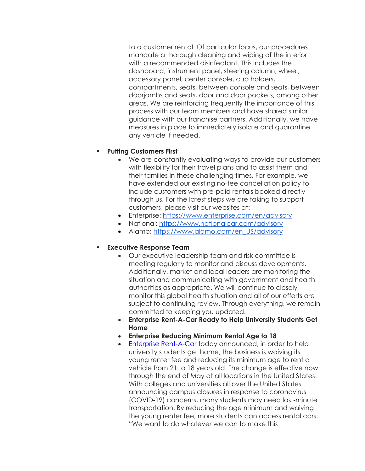to a customer rental. Of particular focus, our procedures mandate a thorough cleaning and wiping of the interior with a recommended disinfectant. This includes the dashboard, instrument panel, steering column, wheel, accessory panel, center console, cup holders, compartments, seats, between console and seats, between doorjambs and seats, door and door pockets, among other areas. We are reinforcing frequently the importance of this process with our team members and have shared similar guidance with our franchise partners. Additionally, we have measures in place to immediately isolate and quarantine any vehicle if needed.

#### **Putting Customers First**

- We are constantly evaluating ways to provide our customers with flexibility for their travel plans and to assist them and their families in these challenging times. For example, we have extended our existing no-fee cancellation policy to include customers with pre-paid rentals booked directly through us. For the latest steps we are taking to support customers, please visit our websites at:
- Enterprise:<https://www.enterprise.com/en/advisory>
- National:<https://www.nationalcar.com/advisory>
- Alamo: [https://www.alamo.com/en\\_US/advisory](https://www.alamo.com/en_US/advisory)

#### **Executive Response Team**

- Our executive leadership team and risk committee is meeting regularly to monitor and discuss developments. Additionally, market and local leaders are monitoring the situation and communicating with government and health authorities as appropriate. We will continue to closely monitor this global health situation and all of our efforts are subject to continuing review. Through everything, we remain committed to keeping you updated.
- **Enterprise Rent-A-Car Ready to Help University Students Get Home**
- **Enterprise Reducing Minimum Rental Age to 18**
- [Enterprise Rent-A-Car](https://www.enterprise.com/) today announced, in order to help university students get home, the business is waiving its young renter fee and reducing its minimum age to rent a vehicle from 21 to 18 years old. The change is effective now through the end of May at all locations in the United States. With colleges and universities all over the United States announcing campus closures in response to coronavirus (COVID-19) concerns, many students may need last-minute transportation. By reducing the age minimum and waiving the young renter fee, more students can access rental cars. "We want to do whatever we can to make this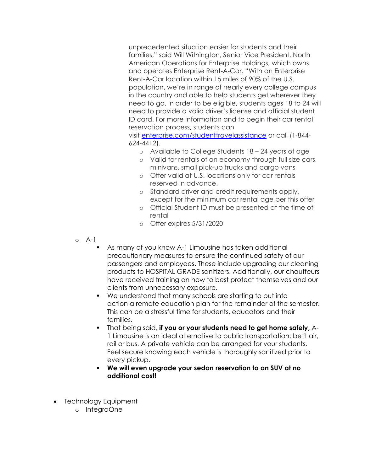unprecedented situation easier for students and their families," said Will Withington, Senior Vice President, North American Operations for Enterprise Holdings, which owns and operates Enterprise Rent-A-Car. "With an Enterprise Rent-A-Car location within 15 miles of 90% of the U.S. population, we're in range of nearly every college campus in the country and able to help students get wherever they need to go. In order to be eligible, students ages 18 to 24 will need to provide a valid driver's license and official student ID card. For more information and to begin their car rental reservation process, students can

visit [enterprise.com/studenttravelassistance](https://www.enterprise.com/en/car-rental/deals/young-driver.html) or call (1-844- 624-4412).

- o Available to College Students 18 24 years of age
- o Valid for rentals of an economy through full size cars, minivans, small pick-up trucks and cargo vans
- o Offer valid at U.S. locations only for car rentals reserved in advance.
- o Standard driver and credit requirements apply, except for the minimum car rental age per this offer
- o Official Student ID must be presented at the time of rental
- o Offer expires 5/31/2020
- o A-1
	- As many of you know A-1 Limousine has taken additional precautionary measures to ensure the continued safety of our passengers and employees. These include upgrading our cleaning products to HOSPITAL GRADE sanitizers. Additionally, our chauffeurs have received training on how to best protect themselves and our clients from unnecessary exposure.
	- We understand that many schools are starting to put into action a remote education plan for the remainder of the semester. This can be a stressful time for students, educators and their families.
	- That being said, **if you or your students need to get home safely,** A-1 Limousine is an ideal alternative to public transportation; be it air, rail or bus. A private vehicle can be arranged for your students. Feel secure knowing each vehicle is thoroughly sanitized prior to every pickup.
	- **We will even upgrade your sedan reservation to an SUV at no additional cost!**
- Technology Equipment
	- o IntegraOne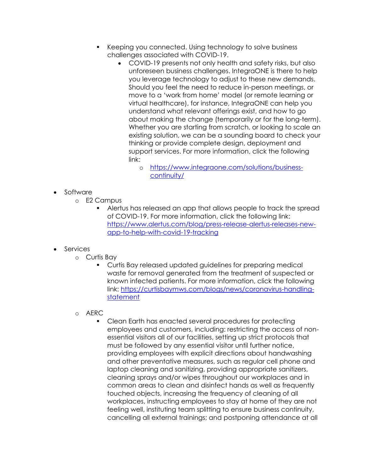- Keeping you connected. Using technology to solve business challenges associated with COVID-19.
	- COVID-19 presents not only health and safety risks, but also unforeseen business challenges. IntegraONE is there to help you leverage technology to adjust to these new demands. Should you feel the need to reduce in-person meetings, or move to a 'work from home' model (or remote learning or virtual healthcare), for instance, IntegraONE can help you understand what relevant offerings exist, and how to go about making the change (temporarily or for the long-term). Whether you are starting from scratch, or looking to scale an existing solution, we can be a sounding board to check your thinking or provide complete design, deployment and support services. For more information, click the following link:
		- o [https://www.integraone.com/solutions/business](https://www.integraone.com/solutions/business-continuity/)[continuity/](https://www.integraone.com/solutions/business-continuity/)
- Software
	- o E2 Campus
		- Alertus has released an app that allows people to track the spread of COVID-19. For more information, click the following link: [https://www.alertus.com/blog/press-release-alertus-releases-new](https://www.alertus.com/blog/press-release-alertus-releases-new-app-to-help-with-covid-19-tracking)[app-to-help-with-covid-19-tracking](https://www.alertus.com/blog/press-release-alertus-releases-new-app-to-help-with-covid-19-tracking)

# • Services

- o Curtis Bay
	- Curtis Bay released updated guidelines for preparing medical waste for removal generated from the treatment of suspected or known infected patients. For more information, click the following link: [https://curtisbaymws.com/blogs/news/coronavirus-handling](https://curtisbaymws.com/blogs/news/coronavirus-handling-statement)[statement](https://curtisbaymws.com/blogs/news/coronavirus-handling-statement)
- o AERC
	- Clean Earth has enacted several procedures for protecting employees and customers, including: restricting the access of nonessential visitors all of our facilities, setting up strict protocols that must be followed by any essential visitor until further notice, providing employees with explicit directions about handwashing and other preventative measures, such as regular cell phone and laptop cleaning and sanitizing, providing appropriate sanitizers, cleaning sprays and/or wipes throughout our workplaces and in common areas to clean and disinfect hands as well as frequently touched objects, increasing the frequency of cleaning of all workplaces, instructing employees to stay at home of they are not feeling well, instituting team splitting to ensure business continuity, cancelling all external trainings; and postponing attendance at all